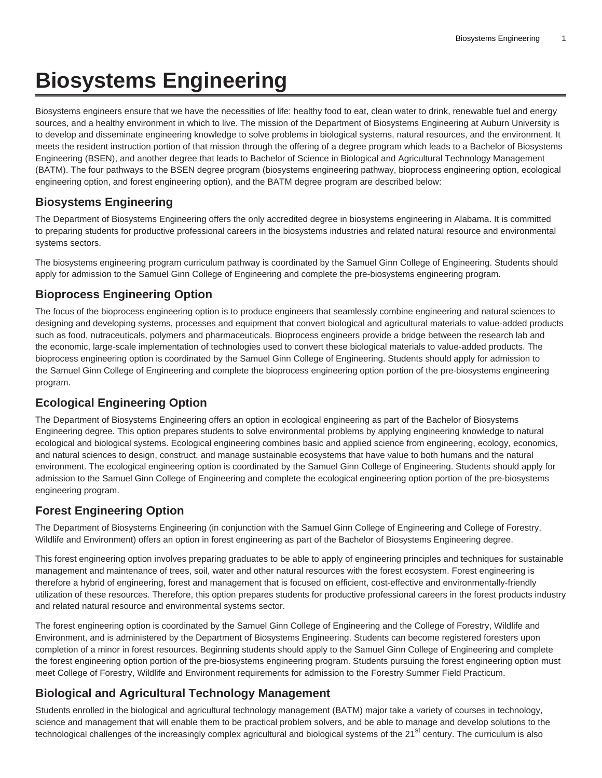# **Biosystems Engineering**

Biosystems engineers ensure that we have the necessities of life: healthy food to eat, clean water to drink, renewable fuel and energy sources, and a healthy environment in which to live. The mission of the Department of Biosystems Engineering at Auburn University is to develop and disseminate engineering knowledge to solve problems in biological systems, natural resources, and the environment. It meets the resident instruction portion of that mission through the offering of a degree program which leads to a Bachelor of Biosystems Engineering (BSEN), and another degree that leads to Bachelor of Science in Biological and Agricultural Technology Management (BATM). The four pathways to the BSEN degree program (biosystems engineering pathway, bioprocess engineering option, ecological engineering option, and forest engineering option), and the BATM degree program are described below:

### **Biosystems Engineering**

The Department of Biosystems Engineering offers the only accredited degree in biosystems engineering in Alabama. It is committed to preparing students for productive professional careers in the biosystems industries and related natural resource and environmental systems sectors.

The biosystems engineering program curriculum pathway is coordinated by the Samuel Ginn College of Engineering. Students should apply for admission to the Samuel Ginn College of Engineering and complete the pre-biosystems engineering program.

## **Bioprocess Engineering Option**

The focus of the bioprocess engineering option is to produce engineers that seamlessly combine engineering and natural sciences to designing and developing systems, processes and equipment that convert biological and agricultural materials to value-added products such as food, nutraceuticals, polymers and pharmaceuticals. Bioprocess engineers provide a bridge between the research lab and the economic, large-scale implementation of technologies used to convert these biological materials to value-added products. The bioprocess engineering option is coordinated by the Samuel Ginn College of Engineering. Students should apply for admission to the Samuel Ginn College of Engineering and complete the bioprocess engineering option portion of the pre-biosystems engineering program.

#### **Ecological Engineering Option**

The Department of Biosystems Engineering offers an option in ecological engineering as part of the Bachelor of Biosystems Engineering degree. This option prepares students to solve environmental problems by applying engineering knowledge to natural ecological and biological systems. Ecological engineering combines basic and applied science from engineering, ecology, economics, and natural sciences to design, construct, and manage sustainable ecosystems that have value to both humans and the natural environment. The ecological engineering option is coordinated by the Samuel Ginn College of Engineering. Students should apply for admission to the Samuel Ginn College of Engineering and complete the ecological engineering option portion of the pre-biosystems engineering program.

## **Forest Engineering Option**

The Department of Biosystems Engineering (in conjunction with the Samuel Ginn College of Engineering and College of Forestry, Wildlife and Environment) offers an option in forest engineering as part of the Bachelor of Biosystems Engineering degree.

This forest engineering option involves preparing graduates to be able to apply of engineering principles and techniques for sustainable management and maintenance of trees, soil, water and other natural resources with the forest ecosystem. Forest engineering is therefore a hybrid of engineering, forest and management that is focused on efficient, cost-effective and environmentally-friendly utilization of these resources. Therefore, this option prepares students for productive professional careers in the forest products industry and related natural resource and environmental systems sector.

The forest engineering option is coordinated by the Samuel Ginn College of Engineering and the College of Forestry, Wildlife and Environment, and is administered by the Department of Biosystems Engineering. Students can become registered foresters upon completion of a minor in forest resources. Beginning students should apply to the Samuel Ginn College of Engineering and complete the forest engineering option portion of the pre-biosystems engineering program. Students pursuing the forest engineering option must meet College of Forestry, Wildlife and Environment requirements for admission to the Forestry Summer Field Practicum.

## **Biological and Agricultural Technology Management**

Students enrolled in the biological and agricultural technology management (BATM) major take a variety of courses in technology, science and management that will enable them to be practical problem solvers, and be able to manage and develop solutions to the technological challenges of the increasingly complex agricultural and biological systems of the 21<sup>st</sup> century. The curriculum is also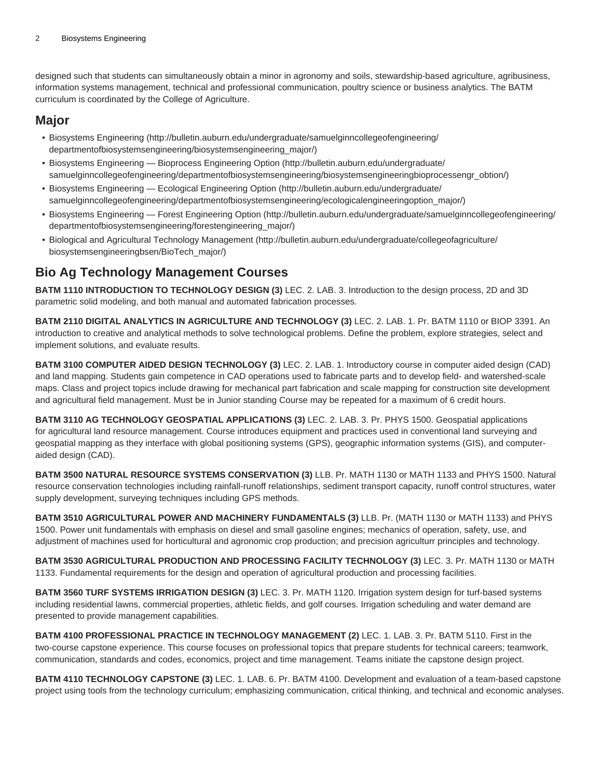designed such that students can simultaneously obtain a minor in agronomy and soils, stewardship-based agriculture, agribusiness, information systems management, technical and professional communication, poultry science or business analytics. The BATM curriculum is coordinated by the College of Agriculture.

#### **Major**

- [Biosystems Engineering \(http://bulletin.auburn.edu/undergraduate/samuelginncollegeofengineering/](http://bulletin.auburn.edu/undergraduate/samuelginncollegeofengineering/departmentofbiosystemsengineering/biosystemsengineering_major/) [departmentofbiosystemsengineering/biosystemsengineering\\_major/\)](http://bulletin.auburn.edu/undergraduate/samuelginncollegeofengineering/departmentofbiosystemsengineering/biosystemsengineering_major/)
- [Biosystems Engineering Bioprocess Engineering Option \(http://bulletin.auburn.edu/undergraduate/](http://bulletin.auburn.edu/undergraduate/samuelginncollegeofengineering/departmentofbiosystemsengineering/biosystemsengineeringbioprocessengr_obtion/) [samuelginncollegeofengineering/departmentofbiosystemsengineering/biosystemsengineeringbioprocessengr\\_obtion/\)](http://bulletin.auburn.edu/undergraduate/samuelginncollegeofengineering/departmentofbiosystemsengineering/biosystemsengineeringbioprocessengr_obtion/)
- [Biosystems Engineering Ecological Engineering Option](http://bulletin.auburn.edu/undergraduate/samuelginncollegeofengineering/departmentofbiosystemsengineering/ecologicalengineeringoption_major/) ([http://bulletin.auburn.edu/undergraduate/](http://bulletin.auburn.edu/undergraduate/samuelginncollegeofengineering/departmentofbiosystemsengineering/ecologicalengineeringoption_major/) [samuelginncollegeofengineering/departmentofbiosystemsengineering/ecologicalengineeringoption\\_major/\)](http://bulletin.auburn.edu/undergraduate/samuelginncollegeofengineering/departmentofbiosystemsengineering/ecologicalengineeringoption_major/)
- [Biosystems Engineering Forest Engineering Option \(http://bulletin.auburn.edu/undergraduate/samuelginncollegeofengineering/](http://bulletin.auburn.edu/undergraduate/samuelginncollegeofengineering/departmentofbiosystemsengineering/forestengineering_major/) [departmentofbiosystemsengineering/forestengineering\\_major/](http://bulletin.auburn.edu/undergraduate/samuelginncollegeofengineering/departmentofbiosystemsengineering/forestengineering_major/))
- [Biological and Agricultural Technology Management \(http://bulletin.auburn.edu/undergraduate/collegeofagriculture/](http://bulletin.auburn.edu/undergraduate/collegeofagriculture/biosystemsengineeringbsen/BioTech_major/) [biosystemsengineeringbsen/BioTech\\_major/](http://bulletin.auburn.edu/undergraduate/collegeofagriculture/biosystemsengineeringbsen/BioTech_major/))

## **Bio Ag Technology Management Courses**

**BATM 1110 INTRODUCTION TO TECHNOLOGY DESIGN (3)** LEC. 2. LAB. 3. Introduction to the design process, 2D and 3D parametric solid modeling, and both manual and automated fabrication processes.

**BATM 2110 DIGITAL ANALYTICS IN AGRICULTURE AND TECHNOLOGY (3)** LEC. 2. LAB. 1. Pr. BATM 1110 or BIOP 3391. An introduction to creative and analytical methods to solve technological problems. Define the problem, explore strategies, select and implement solutions, and evaluate results.

**BATM 3100 COMPUTER AIDED DESIGN TECHNOLOGY (3)** LEC. 2. LAB. 1. Introductory course in computer aided design (CAD) and land mapping. Students gain competence in CAD operations used to fabricate parts and to develop field- and watershed-scale maps. Class and project topics include drawing for mechanical part fabrication and scale mapping for construction site development and agricultural field management. Must be in Junior standing Course may be repeated for a maximum of 6 credit hours.

**BATM 3110 AG TECHNOLOGY GEOSPATIAL APPLICATIONS (3)** LEC. 2. LAB. 3. Pr. PHYS 1500. Geospatial applications for agricultural land resource management. Course introduces equipment and practices used in conventional land surveying and geospatial mapping as they interface with global positioning systems (GPS), geographic information systems (GIS), and computeraided design (CAD).

**BATM 3500 NATURAL RESOURCE SYSTEMS CONSERVATION (3)** LLB. Pr. MATH 1130 or MATH 1133 and PHYS 1500. Natural resource conservation technologies including rainfall-runoff relationships, sediment transport capacity, runoff control structures, water supply development, surveying techniques including GPS methods.

**BATM 3510 AGRICULTURAL POWER AND MACHINERY FUNDAMENTALS (3)** LLB. Pr. (MATH 1130 or MATH 1133) and PHYS 1500. Power unit fundamentals with emphasis on diesel and small gasoline engines; mechanics of operation, safety, use, and adjustment of machines used for horticultural and agronomic crop production; and precision agriculturr principles and technology.

**BATM 3530 AGRICULTURAL PRODUCTION AND PROCESSING FACILITY TECHNOLOGY (3)** LEC. 3. Pr. MATH 1130 or MATH 1133. Fundamental requirements for the design and operation of agricultural production and processing facilities.

**BATM 3560 TURF SYSTEMS IRRIGATION DESIGN (3)** LEC. 3. Pr. MATH 1120. Irrigation system design for turf-based systems including residential lawns, commercial properties, athletic fields, and golf courses. Irrigation scheduling and water demand are presented to provide management capabilities.

**BATM 4100 PROFESSIONAL PRACTICE IN TECHNOLOGY MANAGEMENT (2)** LEC. 1. LAB. 3. Pr. BATM 5110. First in the two-course capstone experience. This course focuses on professional topics that prepare students for technical careers; teamwork, communication, standards and codes, economics, project and time management. Teams initiate the capstone design project.

**BATM 4110 TECHNOLOGY CAPSTONE (3)** LEC. 1. LAB. 6. Pr. BATM 4100. Development and evaluation of a team-based capstone project using tools from the technology curriculum; emphasizing communication, critical thinking, and technical and economic analyses.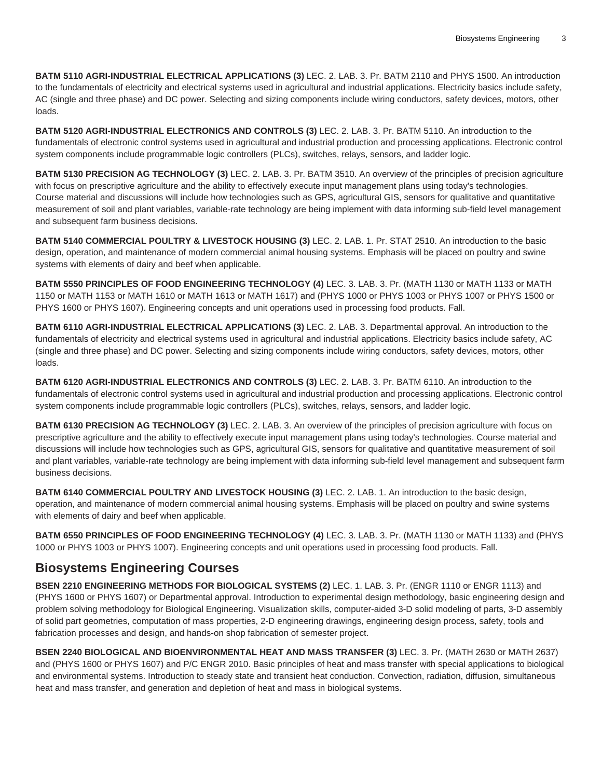**BATM 5110 AGRI-INDUSTRIAL ELECTRICAL APPLICATIONS (3)** LEC. 2. LAB. 3. Pr. BATM 2110 and PHYS 1500. An introduction to the fundamentals of electricity and electrical systems used in agricultural and industrial applications. Electricity basics include safety, AC (single and three phase) and DC power. Selecting and sizing components include wiring conductors, safety devices, motors, other loads.

**BATM 5120 AGRI-INDUSTRIAL ELECTRONICS AND CONTROLS (3)** LEC. 2. LAB. 3. Pr. BATM 5110. An introduction to the fundamentals of electronic control systems used in agricultural and industrial production and processing applications. Electronic control system components include programmable logic controllers (PLCs), switches, relays, sensors, and ladder logic.

**BATM 5130 PRECISION AG TECHNOLOGY (3)** LEC. 2. LAB. 3. Pr. BATM 3510. An overview of the principles of precision agriculture with focus on prescriptive agriculture and the ability to effectively execute input management plans using today's technologies. Course material and discussions will include how technologies such as GPS, agricultural GIS, sensors for qualitative and quantitative measurement of soil and plant variables, variable-rate technology are being implement with data informing sub-field level management and subsequent farm business decisions.

**BATM 5140 COMMERCIAL POULTRY & LIVESTOCK HOUSING (3)** LEC. 2. LAB. 1. Pr. STAT 2510. An introduction to the basic design, operation, and maintenance of modern commercial animal housing systems. Emphasis will be placed on poultry and swine systems with elements of dairy and beef when applicable.

**BATM 5550 PRINCIPLES OF FOOD ENGINEERING TECHNOLOGY (4)** LEC. 3. LAB. 3. Pr. (MATH 1130 or MATH 1133 or MATH 1150 or MATH 1153 or MATH 1610 or MATH 1613 or MATH 1617) and (PHYS 1000 or PHYS 1003 or PHYS 1007 or PHYS 1500 or PHYS 1600 or PHYS 1607). Engineering concepts and unit operations used in processing food products. Fall.

**BATM 6110 AGRI-INDUSTRIAL ELECTRICAL APPLICATIONS (3)** LEC. 2. LAB. 3. Departmental approval. An introduction to the fundamentals of electricity and electrical systems used in agricultural and industrial applications. Electricity basics include safety, AC (single and three phase) and DC power. Selecting and sizing components include wiring conductors, safety devices, motors, other loads.

**BATM 6120 AGRI-INDUSTRIAL ELECTRONICS AND CONTROLS (3)** LEC. 2. LAB. 3. Pr. BATM 6110. An introduction to the fundamentals of electronic control systems used in agricultural and industrial production and processing applications. Electronic control system components include programmable logic controllers (PLCs), switches, relays, sensors, and ladder logic.

**BATM 6130 PRECISION AG TECHNOLOGY (3)** LEC. 2. LAB. 3. An overview of the principles of precision agriculture with focus on prescriptive agriculture and the ability to effectively execute input management plans using today's technologies. Course material and discussions will include how technologies such as GPS, agricultural GIS, sensors for qualitative and quantitative measurement of soil and plant variables, variable-rate technology are being implement with data informing sub-field level management and subsequent farm business decisions.

**BATM 6140 COMMERCIAL POULTRY AND LIVESTOCK HOUSING (3)** LEC. 2. LAB. 1. An introduction to the basic design, operation, and maintenance of modern commercial animal housing systems. Emphasis will be placed on poultry and swine systems with elements of dairy and beef when applicable.

**BATM 6550 PRINCIPLES OF FOOD ENGINEERING TECHNOLOGY (4)** LEC. 3. LAB. 3. Pr. (MATH 1130 or MATH 1133) and (PHYS 1000 or PHYS 1003 or PHYS 1007). Engineering concepts and unit operations used in processing food products. Fall.

#### **Biosystems Engineering Courses**

**BSEN 2210 ENGINEERING METHODS FOR BIOLOGICAL SYSTEMS (2)** LEC. 1. LAB. 3. Pr. (ENGR 1110 or ENGR 1113) and (PHYS 1600 or PHYS 1607) or Departmental approval. Introduction to experimental design methodology, basic engineering design and problem solving methodology for Biological Engineering. Visualization skills, computer-aided 3-D solid modeling of parts, 3-D assembly of solid part geometries, computation of mass properties, 2-D engineering drawings, engineering design process, safety, tools and fabrication processes and design, and hands-on shop fabrication of semester project.

**BSEN 2240 BIOLOGICAL AND BIOENVIRONMENTAL HEAT AND MASS TRANSFER (3)** LEC. 3. Pr. (MATH 2630 or MATH 2637) and (PHYS 1600 or PHYS 1607) and P/C ENGR 2010. Basic principles of heat and mass transfer with special applications to biological and environmental systems. Introduction to steady state and transient heat conduction. Convection, radiation, diffusion, simultaneous heat and mass transfer, and generation and depletion of heat and mass in biological systems.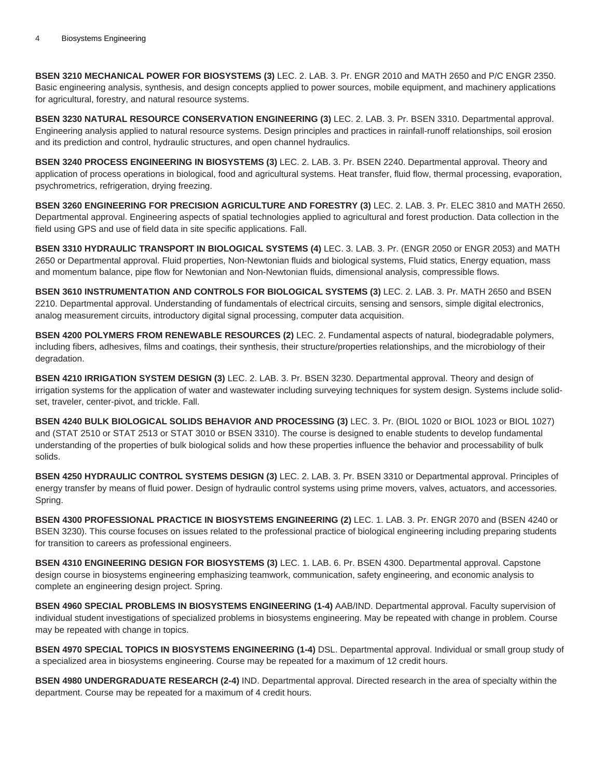**BSEN 3210 MECHANICAL POWER FOR BIOSYSTEMS (3)** LEC. 2. LAB. 3. Pr. ENGR 2010 and MATH 2650 and P/C ENGR 2350. Basic engineering analysis, synthesis, and design concepts applied to power sources, mobile equipment, and machinery applications for agricultural, forestry, and natural resource systems.

**BSEN 3230 NATURAL RESOURCE CONSERVATION ENGINEERING (3)** LEC. 2. LAB. 3. Pr. BSEN 3310. Departmental approval. Engineering analysis applied to natural resource systems. Design principles and practices in rainfall-runoff relationships, soil erosion and its prediction and control, hydraulic structures, and open channel hydraulics.

**BSEN 3240 PROCESS ENGINEERING IN BIOSYSTEMS (3)** LEC. 2. LAB. 3. Pr. BSEN 2240. Departmental approval. Theory and application of process operations in biological, food and agricultural systems. Heat transfer, fluid flow, thermal processing, evaporation, psychrometrics, refrigeration, drying freezing.

**BSEN 3260 ENGINEERING FOR PRECISION AGRICULTURE AND FORESTRY (3)** LEC. 2. LAB. 3. Pr. ELEC 3810 and MATH 2650. Departmental approval. Engineering aspects of spatial technologies applied to agricultural and forest production. Data collection in the field using GPS and use of field data in site specific applications. Fall.

**BSEN 3310 HYDRAULIC TRANSPORT IN BIOLOGICAL SYSTEMS (4)** LEC. 3. LAB. 3. Pr. (ENGR 2050 or ENGR 2053) and MATH 2650 or Departmental approval. Fluid properties, Non-Newtonian fluids and biological systems, Fluid statics, Energy equation, mass and momentum balance, pipe flow for Newtonian and Non-Newtonian fluids, dimensional analysis, compressible flows.

**BSEN 3610 INSTRUMENTATION AND CONTROLS FOR BIOLOGICAL SYSTEMS (3)** LEC. 2. LAB. 3. Pr. MATH 2650 and BSEN 2210. Departmental approval. Understanding of fundamentals of electrical circuits, sensing and sensors, simple digital electronics, analog measurement circuits, introductory digital signal processing, computer data acquisition.

**BSEN 4200 POLYMERS FROM RENEWABLE RESOURCES (2)** LEC. 2. Fundamental aspects of natural, biodegradable polymers, including fibers, adhesives, films and coatings, their synthesis, their structure/properties relationships, and the microbiology of their degradation.

**BSEN 4210 IRRIGATION SYSTEM DESIGN (3)** LEC. 2. LAB. 3. Pr. BSEN 3230. Departmental approval. Theory and design of irrigation systems for the application of water and wastewater including surveying techniques for system design. Systems include solidset, traveler, center-pivot, and trickle. Fall.

**BSEN 4240 BULK BIOLOGICAL SOLIDS BEHAVIOR AND PROCESSING (3)** LEC. 3. Pr. (BIOL 1020 or BIOL 1023 or BIOL 1027) and (STAT 2510 or STAT 2513 or STAT 3010 or BSEN 3310). The course is designed to enable students to develop fundamental understanding of the properties of bulk biological solids and how these properties influence the behavior and processability of bulk solids.

**BSEN 4250 HYDRAULIC CONTROL SYSTEMS DESIGN (3)** LEC. 2. LAB. 3. Pr. BSEN 3310 or Departmental approval. Principles of energy transfer by means of fluid power. Design of hydraulic control systems using prime movers, valves, actuators, and accessories. Spring.

**BSEN 4300 PROFESSIONAL PRACTICE IN BIOSYSTEMS ENGINEERING (2)** LEC. 1. LAB. 3. Pr. ENGR 2070 and (BSEN 4240 or BSEN 3230). This course focuses on issues related to the professional practice of biological engineering including preparing students for transition to careers as professional engineers.

**BSEN 4310 ENGINEERING DESIGN FOR BIOSYSTEMS (3)** LEC. 1. LAB. 6. Pr. BSEN 4300. Departmental approval. Capstone design course in biosystems engineering emphasizing teamwork, communication, safety engineering, and economic analysis to complete an engineering design project. Spring.

**BSEN 4960 SPECIAL PROBLEMS IN BIOSYSTEMS ENGINEERING (1-4)** AAB/IND. Departmental approval. Faculty supervision of individual student investigations of specialized problems in biosystems engineering. May be repeated with change in problem. Course may be repeated with change in topics.

**BSEN 4970 SPECIAL TOPICS IN BIOSYSTEMS ENGINEERING (1-4)** DSL. Departmental approval. Individual or small group study of a specialized area in biosystems engineering. Course may be repeated for a maximum of 12 credit hours.

**BSEN 4980 UNDERGRADUATE RESEARCH (2-4)** IND. Departmental approval. Directed research in the area of specialty within the department. Course may be repeated for a maximum of 4 credit hours.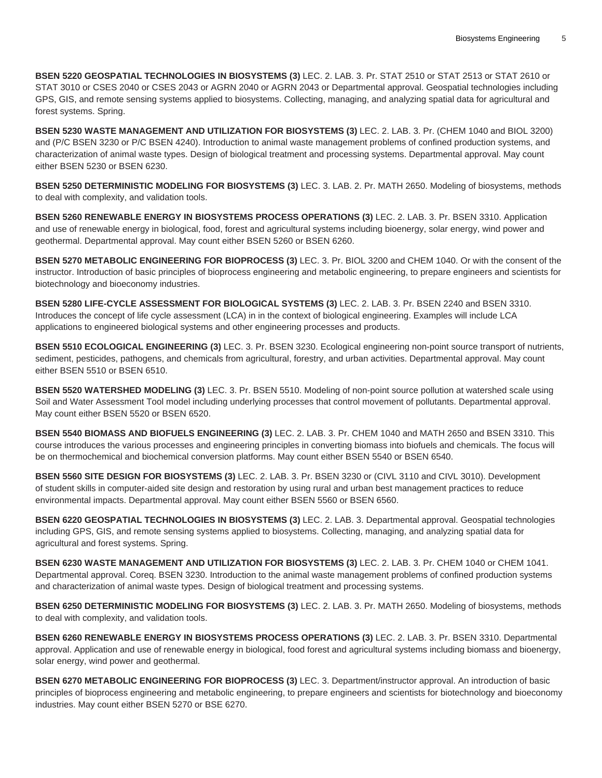**BSEN 5220 GEOSPATIAL TECHNOLOGIES IN BIOSYSTEMS (3)** LEC. 2. LAB. 3. Pr. STAT 2510 or STAT 2513 or STAT 2610 or STAT 3010 or CSES 2040 or CSES 2043 or AGRN 2040 or AGRN 2043 or Departmental approval. Geospatial technologies including GPS, GIS, and remote sensing systems applied to biosystems. Collecting, managing, and analyzing spatial data for agricultural and forest systems. Spring.

**BSEN 5230 WASTE MANAGEMENT AND UTILIZATION FOR BIOSYSTEMS (3)** LEC. 2. LAB. 3. Pr. (CHEM 1040 and BIOL 3200) and (P/C BSEN 3230 or P/C BSEN 4240). Introduction to animal waste management problems of confined production systems, and characterization of animal waste types. Design of biological treatment and processing systems. Departmental approval. May count either BSEN 5230 or BSEN 6230.

**BSEN 5250 DETERMINISTIC MODELING FOR BIOSYSTEMS (3)** LEC. 3. LAB. 2. Pr. MATH 2650. Modeling of biosystems, methods to deal with complexity, and validation tools.

**BSEN 5260 RENEWABLE ENERGY IN BIOSYSTEMS PROCESS OPERATIONS (3)** LEC. 2. LAB. 3. Pr. BSEN 3310. Application and use of renewable energy in biological, food, forest and agricultural systems including bioenergy, solar energy, wind power and geothermal. Departmental approval. May count either BSEN 5260 or BSEN 6260.

**BSEN 5270 METABOLIC ENGINEERING FOR BIOPROCESS (3)** LEC. 3. Pr. BIOL 3200 and CHEM 1040. Or with the consent of the instructor. Introduction of basic principles of bioprocess engineering and metabolic engineering, to prepare engineers and scientists for biotechnology and bioeconomy industries.

**BSEN 5280 LIFE-CYCLE ASSESSMENT FOR BIOLOGICAL SYSTEMS (3)** LEC. 2. LAB. 3. Pr. BSEN 2240 and BSEN 3310. Introduces the concept of life cycle assessment (LCA) in in the context of biological engineering. Examples will include LCA applications to engineered biological systems and other engineering processes and products.

**BSEN 5510 ECOLOGICAL ENGINEERING (3)** LEC. 3. Pr. BSEN 3230. Ecological engineering non-point source transport of nutrients, sediment, pesticides, pathogens, and chemicals from agricultural, forestry, and urban activities. Departmental approval. May count either BSEN 5510 or BSEN 6510.

**BSEN 5520 WATERSHED MODELING (3)** LEC. 3. Pr. BSEN 5510. Modeling of non-point source pollution at watershed scale using Soil and Water Assessment Tool model including underlying processes that control movement of pollutants. Departmental approval. May count either BSEN 5520 or BSEN 6520.

**BSEN 5540 BIOMASS AND BIOFUELS ENGINEERING (3)** LEC. 2. LAB. 3. Pr. CHEM 1040 and MATH 2650 and BSEN 3310. This course introduces the various processes and engineering principles in converting biomass into biofuels and chemicals. The focus will be on thermochemical and biochemical conversion platforms. May count either BSEN 5540 or BSEN 6540.

**BSEN 5560 SITE DESIGN FOR BIOSYSTEMS (3)** LEC. 2. LAB. 3. Pr. BSEN 3230 or (CIVL 3110 and CIVL 3010). Development of student skills in computer-aided site design and restoration by using rural and urban best management practices to reduce environmental impacts. Departmental approval. May count either BSEN 5560 or BSEN 6560.

**BSEN 6220 GEOSPATIAL TECHNOLOGIES IN BIOSYSTEMS (3)** LEC. 2. LAB. 3. Departmental approval. Geospatial technologies including GPS, GIS, and remote sensing systems applied to biosystems. Collecting, managing, and analyzing spatial data for agricultural and forest systems. Spring.

**BSEN 6230 WASTE MANAGEMENT AND UTILIZATION FOR BIOSYSTEMS (3)** LEC. 2. LAB. 3. Pr. CHEM 1040 or CHEM 1041. Departmental approval. Coreq. BSEN 3230. Introduction to the animal waste management problems of confined production systems and characterization of animal waste types. Design of biological treatment and processing systems.

**BSEN 6250 DETERMINISTIC MODELING FOR BIOSYSTEMS (3)** LEC. 2. LAB. 3. Pr. MATH 2650. Modeling of biosystems, methods to deal with complexity, and validation tools.

**BSEN 6260 RENEWABLE ENERGY IN BIOSYSTEMS PROCESS OPERATIONS (3)** LEC. 2. LAB. 3. Pr. BSEN 3310. Departmental approval. Application and use of renewable energy in biological, food forest and agricultural systems including biomass and bioenergy, solar energy, wind power and geothermal.

**BSEN 6270 METABOLIC ENGINEERING FOR BIOPROCESS (3)** LEC. 3. Department/instructor approval. An introduction of basic principles of bioprocess engineering and metabolic engineering, to prepare engineers and scientists for biotechnology and bioeconomy industries. May count either BSEN 5270 or BSE 6270.